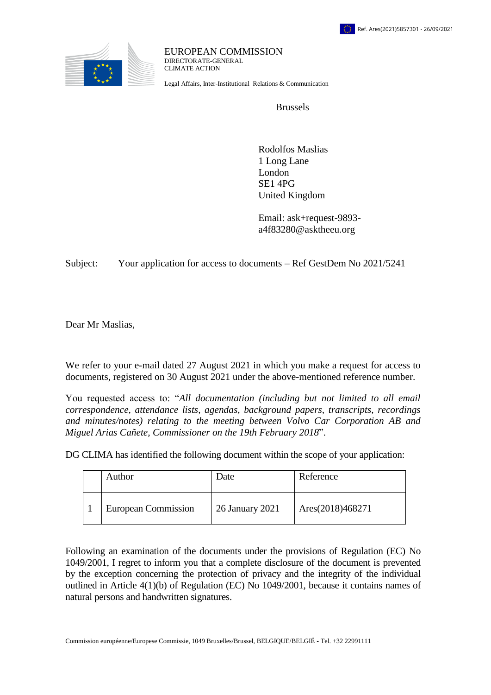

EUROPEAN COMMISSION DIRECTORATE-GENERAL CLIMATE ACTION

Legal Affairs, Inter-Institutional Relations & Communication

Brussels

 Rodolfos Maslias 1 Long Lane London SE1 4PG United Kingdom

 Email: ask+request-9893 a4f83280@asktheeu.org

Subject: Your application for access to documents – Ref GestDem No 2021/5241

Dear Mr Maslias,

We refer to your e-mail dated 27 August 2021 in which you make a request for access to documents, registered on 30 August 2021 under the above-mentioned reference number.

You requested access to: "*All documentation (including but not limited to all email correspondence, attendance lists, agendas, background papers, transcripts, recordings and minutes/notes) relating to the meeting between Volvo Car Corporation AB and Miguel Arias Cañete, Commissioner on the 19th February 2018*".

DG CLIMA has identified the following document within the scope of your application:

| Author                     | Date            | Reference        |
|----------------------------|-----------------|------------------|
| <b>European Commission</b> | 26 January 2021 | Ares(2018)468271 |

Following an examination of the documents under the provisions of Regulation (EC) No 1049/2001, I regret to inform you that a complete disclosure of the document is prevented by the exception concerning the protection of privacy and the integrity of the individual outlined in Article 4(1)(b) of Regulation (EC) No 1049/2001, because it contains names of natural persons and handwritten signatures.